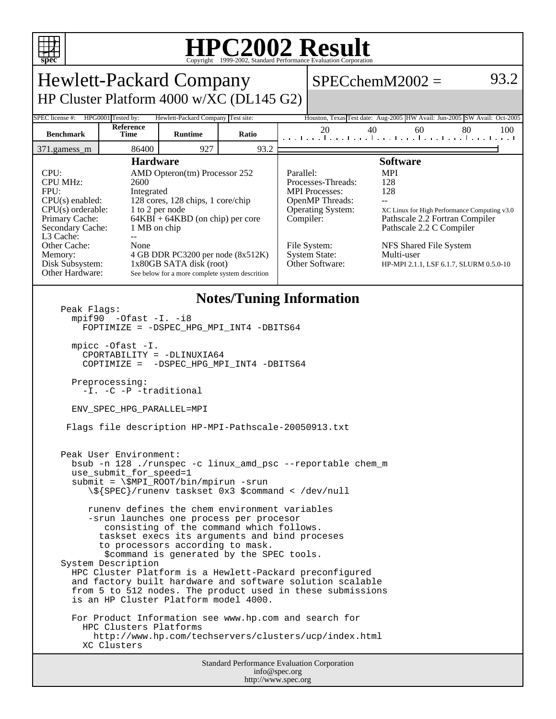

## **HPC2002 Result**

| <b>Hewlett-Packard Company</b>                                                                                                                                                                                                                                                                                                                                                                                                                                                                                                                                                                                                                                                                                                                                                                                                                                                                                                                                                                                                                                                                                                                                                                                                                                          |                   |                |       |                                                                                                                                                                                                                                                                                                                                                                                                                                                          | $SPECchemM2002 =$                                                        |    |    | 93.2 |
|-------------------------------------------------------------------------------------------------------------------------------------------------------------------------------------------------------------------------------------------------------------------------------------------------------------------------------------------------------------------------------------------------------------------------------------------------------------------------------------------------------------------------------------------------------------------------------------------------------------------------------------------------------------------------------------------------------------------------------------------------------------------------------------------------------------------------------------------------------------------------------------------------------------------------------------------------------------------------------------------------------------------------------------------------------------------------------------------------------------------------------------------------------------------------------------------------------------------------------------------------------------------------|-------------------|----------------|-------|----------------------------------------------------------------------------------------------------------------------------------------------------------------------------------------------------------------------------------------------------------------------------------------------------------------------------------------------------------------------------------------------------------------------------------------------------------|--------------------------------------------------------------------------|----|----|------|
| HP Cluster Platform 4000 w/XC (DL145 G2)                                                                                                                                                                                                                                                                                                                                                                                                                                                                                                                                                                                                                                                                                                                                                                                                                                                                                                                                                                                                                                                                                                                                                                                                                                |                   |                |       |                                                                                                                                                                                                                                                                                                                                                                                                                                                          |                                                                          |    |    |      |
| HPG0001 Tested by:<br>SPEC license #:<br>Hewlett-Packard Company Test site:                                                                                                                                                                                                                                                                                                                                                                                                                                                                                                                                                                                                                                                                                                                                                                                                                                                                                                                                                                                                                                                                                                                                                                                             |                   |                |       |                                                                                                                                                                                                                                                                                                                                                                                                                                                          | Houston, Texas Test date: Aug-2005 HW Avail: Jun-2005 SW Avail: Oct-2005 |    |    |      |
| <b>Benchmark</b>                                                                                                                                                                                                                                                                                                                                                                                                                                                                                                                                                                                                                                                                                                                                                                                                                                                                                                                                                                                                                                                                                                                                                                                                                                                        | Reference<br>Time | <b>Runtime</b> | Ratio |                                                                                                                                                                                                                                                                                                                                                                                                                                                          | 20<br>40<br>المتمار وبالمتحر المتحر المتحر المتحر المتحر المتحر          | 60 | 80 | 100  |
| 371.gamess_m                                                                                                                                                                                                                                                                                                                                                                                                                                                                                                                                                                                                                                                                                                                                                                                                                                                                                                                                                                                                                                                                                                                                                                                                                                                            | 86400             | 927            | 93.2  |                                                                                                                                                                                                                                                                                                                                                                                                                                                          |                                                                          |    |    |      |
| <b>Hardware</b><br>CPU:<br>AMD Opteron(tm) Processor 252<br><b>CPU MHz:</b><br>2600<br>FPU:<br>Integrated<br>128 cores, 128 chips, 1 core/chip<br>$CPU(s)$ enabled:<br>$CPU(s)$ orderable:<br>1 to 2 per node<br>$64KBI + 64KBD$ (on chip) per core<br>Primary Cache:<br>Secondary Cache:<br>1 MB on chip<br>L3 Cache:<br>$-$<br>Other Cache:<br>None<br>4 GB DDR PC3200 per node (8x512K)<br>Memory:<br>Disk Subsystem:<br>1x80GB SATA disk (root)<br>Other Hardware:<br>See below for a more complete system descrition                                                                                                                                                                                                                                                                                                                                                                                                                                                                                                                                                                                                                                                                                                                                               |                   |                |       | <b>Software</b><br>Parallel:<br><b>MPI</b><br>128<br>Processes-Threads:<br>128<br><b>MPI</b> Processes:<br><b>OpenMP</b> Threads:<br>$\overline{a}$<br><b>Operating System:</b><br>XC Linux for High Performance Computing v3.0<br>Compiler:<br>Pathscale 2.2 Fortran Compiler<br>Pathscale 2.2 C Compiler<br>File System:<br>NFS Shared File System<br><b>System State:</b><br>Multi-user<br>Other Software:<br>HP-MPI 2.1.1, LSF 6.1.7, SLURM 0.5.0-10 |                                                                          |    |    |      |
| <b>Notes/Tuning Information</b><br>Peak Flags:<br>$mpif90 -0fast -I. -i8$<br>FOPTIMIZE = - DSPEC_HPG_MPI_INT4 -DBITS64<br>$mpirc$ -Ofast $-I$ .<br>CPORTABILITY = -DLINUXIA64<br>COPTIMIZE = - DSPEC_HPG_MPI_INT4 -DBITS64<br>Preprocessing:<br>-I. -C -P -traditional<br>ENV_SPEC_HPG_PARALLEL=MPI<br>Flags file description HP-MPI-Pathscale-20050913.txt<br>Peak User Environment:<br>bsub -n 128 ./runspec -c linux_amd_psc --reportable chem_m<br>use_submit_for_speed=1<br>$submit = \$MPI_ROOT/bin/mpirun -srun$<br>\\${SPEC}/runenv taskset 0x3 \$command < /dev/null<br>runeny defines the chem environment variables<br>-srun launches one process per procesor<br>consisting of the command which follows.<br>taskset execs its arguments and bind proceses<br>to processors according to mask.<br>\$command is generated by the SPEC tools.<br>System Description<br>HPC Cluster Platform is a Hewlett-Packard preconfigured<br>and factory built hardware and software solution scalable<br>from 5 to 512 nodes. The product used in these submissions<br>is an HP Cluster Platform model 4000.<br>For Product Information see www.hp.com and search for<br>HPC Clusters Platforms<br>http://www.hp.com/techservers/clusters/ucp/index.html<br>XC Clusters |                   |                |       |                                                                                                                                                                                                                                                                                                                                                                                                                                                          |                                                                          |    |    |      |
| <b>Standard Performance Evaluation Corporation</b><br>info@spec.org                                                                                                                                                                                                                                                                                                                                                                                                                                                                                                                                                                                                                                                                                                                                                                                                                                                                                                                                                                                                                                                                                                                                                                                                     |                   |                |       |                                                                                                                                                                                                                                                                                                                                                                                                                                                          |                                                                          |    |    |      |

http://www.spec.org